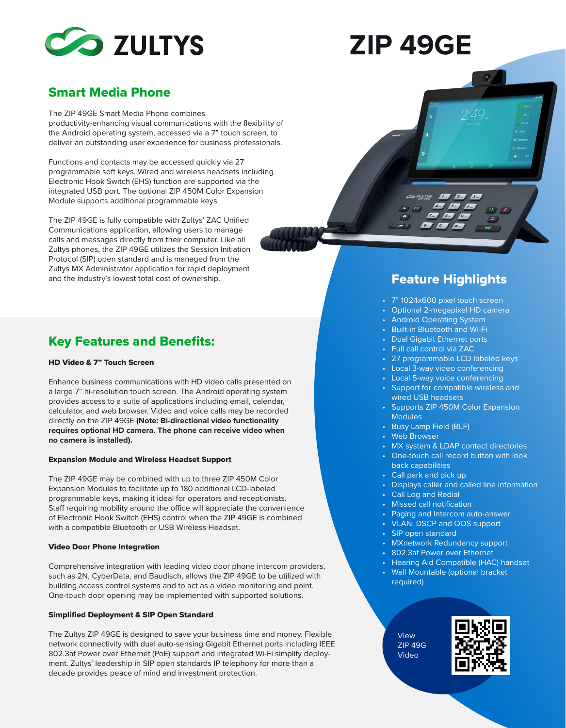

# **ZIP 49GE**

# Smart Media Phone

The ZIP 49GE Smart Media Phone combines productivity-enhancing visual communications with the flexibility of the Android operating system, accessed via a 7" touch screen, to deliver an outstanding user experience for business professionals.

Functions and contacts may be accessed quickly via 27 programmable soft keys. Wired and wireless headsets including Electronic Hook Switch (EHS) function are supported via the integrated USB port. The optional ZIP 450M Color Expansion Module supports additional programmable keys.

The ZIP 49GE is fully compatible with Zultys' ZAC Unified Communications application, allowing users to manage calls and messages directly from their computer. Like all Zultys phones, the ZIP 49GE utilizes the Session Initiation Protocol (SIP) open standard and is managed from the Zultys MX Administrator application for rapid deployment and the industry's lowest total cost of ownership. The according to the industry's lowest total cost of ownership.

## Key Features and Benefits:

#### HD Video & 7" Touch Screen

Enhance business communications with HD video calls presented on a large 7" hi-resolution touch screen. The Android operating system provides access to a suite of applications including email, calendar, calculator, and web browser. Video and voice calls may be recorded directly on the ZIP 49GE **(Note: Bi-directional video functionality requires optional HD camera. The phone can receive video when no camera is installed).**

#### Expansion Module and Wireless Headset Support

The ZIP 49GE may be combined with up to three ZIP 450M Color Expansion Modules to facilitate up to 180 additional LCD-labeled programmable keys, making it ideal for operators and receptionists. Staff requiring mobility around the office will appreciate the convenience of Electronic Hook Switch (EHS) control when the ZIP 49GE is combined with a compatible Bluetooth or USB Wireless Headset.

#### Video Door Phone Integration

Comprehensive integration with leading video door phone intercom providers, such as 2N, CyberData, and Baudisch, allows the ZIP 49GE to be utilized with building access control systems and to act as a video monitoring end point. One-touch door opening may be implemented with supported solutions.

#### Simplified Deployment & SIP Open Standard

The Zultys ZIP 49GE is designed to save your business time and money. Flexible network connectivity with dual auto-sensing Gigabit Ethernet ports including IEEE 802.3af Power over Ethernet (PoE) support and integrated Wi-Fi simplify deployment. Zultys' leadership in SIP open standards IP telephony for more than a decade provides peace of mind and investment protection.



- 7" 1024x600 pixel touch screen •
- Optional 2-megapixel HD camera
- Android Operating System
- Built-in Bluetooth and Wi-Fi
- Dual Gigabit Ethernet ports
- Full call control via ZAC
- 27 programmable LCD labeled keys
- Local 3-way video conferencing
- Local 5-way voice conferencing
- Support for compatible wireless and wired USB headsets
- Supports ZIP 450M Color Expansion **Modules**
- Busy Lamp Field (BLF)
- Web Browser
- MX system & LDAP contact directories •
- One-touch call record button with look back capabilities
- Call park and pick up
- Displays caller and called line information •
- Call Log and Redial •
- Missed call notification •
- Paging and Intercom auto-answer •
- VLAN, DSCP and QOS support •
- SIP open standard •
- MXnetwork Redundancy support •
- 802.3af Power over Ethernet •
- Hearing Aid Compatible (HAC) handset •
- Wall Mountable (optional bracket required) •

View ZIP 49G Video